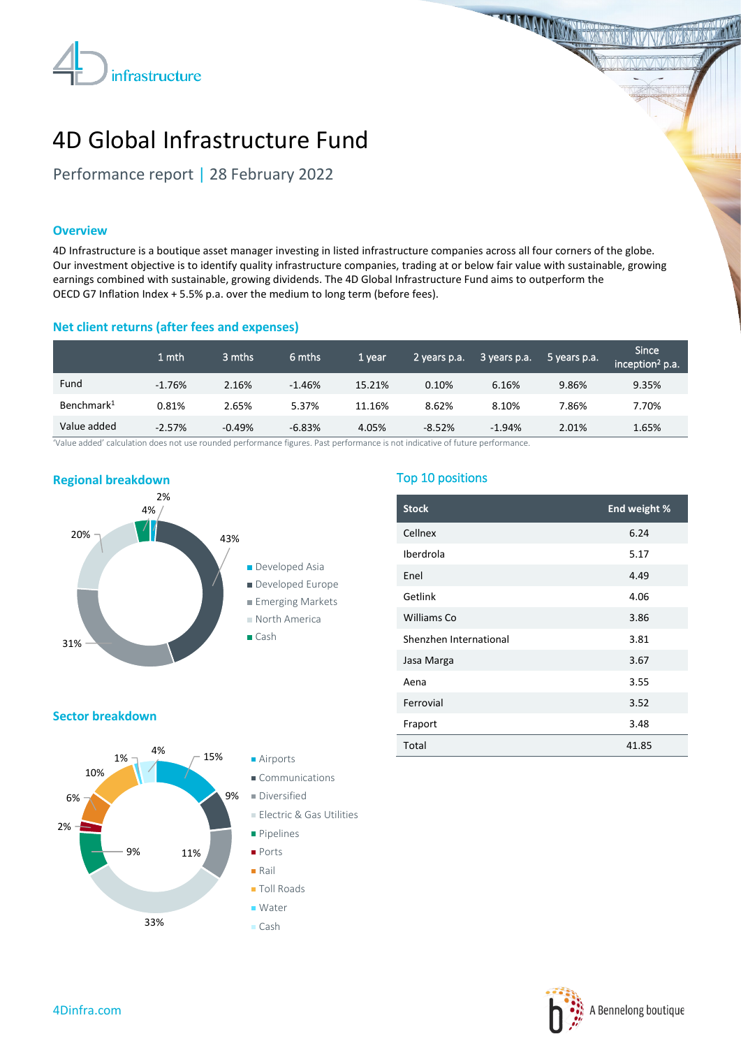

**THE MANIFEST TELEVISION** 

# 4D Global Infrastructure Fund

Performance report | 28 February 2022

### **Overview**

4D Infrastructure is a boutique asset manager investing in listed infrastructure companies across all four corners of the globe. Our investment objective is to identify quality infrastructure companies, trading at or below fair value with sustainable, growing earnings combined with sustainable, growing dividends. The 4D Global Infrastructure Fund aims to outperform the OECD G7 Inflation Index + 5.5% p.a. over the medium to long term (before fees).

# **Net client returns (after fees and expenses)**

|                        | 1 mth    | 3 mths   | 6 mths   | 1 year | 2 years p.a. | 3 years p.a. | 5 years p.a. | <b>Since</b><br>inception <sup>2</sup> p.a. |
|------------------------|----------|----------|----------|--------|--------------|--------------|--------------|---------------------------------------------|
| Fund                   | $-1.76%$ | 2.16%    | $-1.46%$ | 15.21% | 0.10%        | 6.16%        | 9.86%        | 9.35%                                       |
| Benchmark <sup>1</sup> | 0.81%    | 2.65%    | 5.37%    | 11.16% | 8.62%        | 8.10%        | 7.86%        | 7.70%                                       |
| Value added            | $-2.57%$ | $-0.49%$ | $-6.83%$ | 4.05%  | $-8.52%$     | $-1.94%$     | 2.01%        | 1.65%                                       |

'Value added' calculation does not use rounded performance figures. Past performance is not indicative of future performance.



# Top 10 positions

| <b>Stock</b>           | End weight % |
|------------------------|--------------|
| Cellnex                | 6.24         |
| Iberdrola              | 5.17         |
| Enel                   | 4.49         |
| Getlink                | 4.06         |
| Williams Co            | 3.86         |
| Shenzhen International | 3.81         |
| Jasa Marga             | 3.67         |
| Aena                   | 3.55         |
| Ferrovial              | 3.52         |
| Fraport                | 3.48         |
| Total                  | 41.85        |

#### **Sector breakdown**



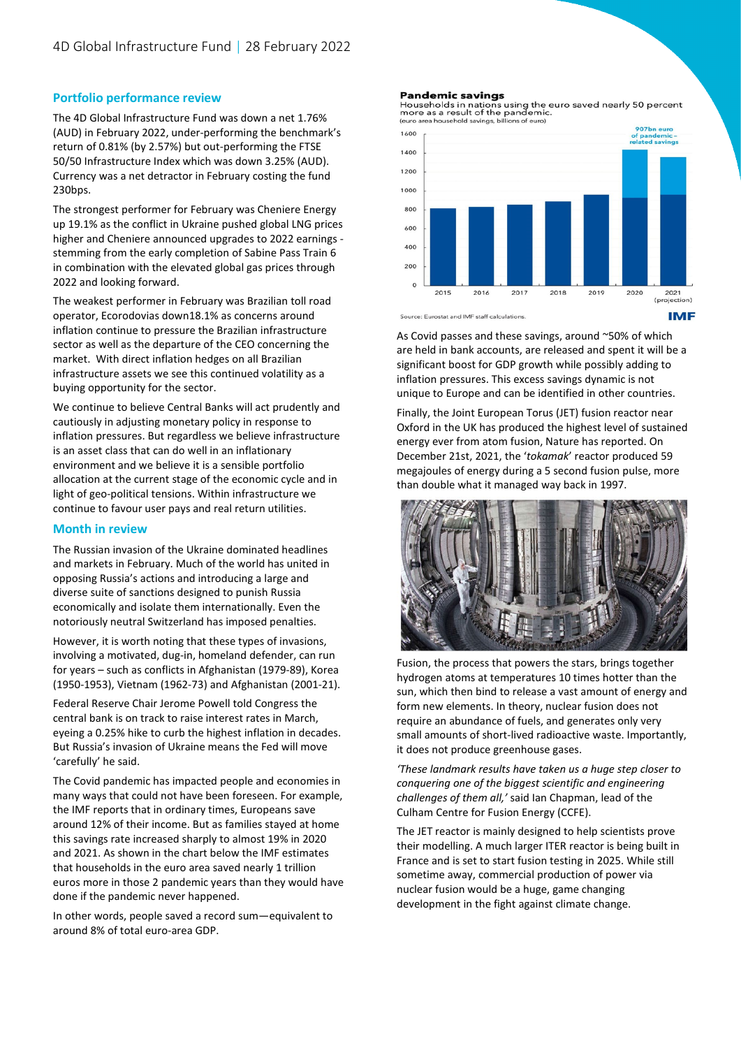## **Portfolio performance review**

The 4D Global Infrastructure Fund was down a net 1.76% (AUD) in February 2022, under-performing the benchmark's return of 0.81% (by 2.57%) but out-performing the FTSE 50/50 Infrastructure Index which was down 3.25% (AUD). Currency was a net detractor in February costing the fund 230bps.

The strongest performer for February was Cheniere Energy up 19.1% as the conflict in Ukraine pushed global LNG prices higher and Cheniere announced upgrades to 2022 earnings stemming from the early completion of Sabine Pass Train 6 in combination with the elevated global gas prices through 2022 and looking forward.

The weakest performer in February was Brazilian toll road operator, Ecorodovias down18.1% as concerns around inflation continue to pressure the Brazilian infrastructure sector as well as the departure of the CEO concerning the market. With direct inflation hedges on all Brazilian infrastructure assets we see this continued volatility as a buying opportunity for the sector.

We continue to believe Central Banks will act prudently and cautiously in adjusting monetary policy in response to inflation pressures. But regardless we believe infrastructure is an asset class that can do well in an inflationary environment and we believe it is a sensible portfolio allocation at the current stage of the economic cycle and in light of geo-political tensions. Within infrastructure we continue to favour user pays and real return utilities.

#### **Month in review**

The Russian invasion of the Ukraine dominated headlines and markets in February. Much of the world has united in opposing Russia's actions and introducing a large and diverse suite of sanctions designed to punish Russia economically and isolate them internationally. Even the notoriously neutral Switzerland has imposed penalties.

However, it is worth noting that these types of invasions, involving a motivated, dug-in, homeland defender, can run for years – such as conflicts in Afghanistan (1979-89), Korea (1950-1953), Vietnam (1962-73) and Afghanistan (2001-21).

Federal Reserve Chair Jerome Powell told Congress the central bank is on track to raise interest rates in March, eyeing a 0.25% hike to curb the highest inflation in decades. But Russia's invasion of Ukraine means the Fed will move 'carefully' he said.

The Covid pandemic has impacted people and economies in many ways that could not have been foreseen. For example, the IMF reports that in ordinary times, Europeans save around 12% of their income. But as families stayed at home this savings rate increased sharply to almost 19% in 2020 and 2021. As shown in the chart below the IMF estimates that households in the euro area saved nearly 1 trillion euros more in those 2 pandemic years than they would have done if the pandemic never happened.

In other words, people saved a record sum—equivalent to around 8% of total euro-area GDP.

#### **Pandemic savings**

Pouseholds in nations using the euro saved nearly 50 percent<br>more as a result of the pandemic. (euro area hor ehold savings, bil ons of euro!



Source: Eurostat and IMF staff calculations.

As Covid passes and these savings, around ~50% of which are held in bank accounts, are released and spent it will be a significant boost for GDP growth while possibly adding to inflation pressures. This excess savings dynamic is not unique to Europe and can be identified in other countries.

Finally, the Joint European Torus (JET) fusion reactor near Oxford in the UK has produced the highest level of sustained energy ever from atom fusion, Nature has reported. On December 21st, 2021, the '*tokamak*' reactor produced 59 megajoules of energy during a 5 second fusion pulse, more than double what it managed way back in 1997.



Fusion, the process that powers the stars, brings together hydrogen atoms at temperatures 10 times hotter than the sun, which then bind to release a vast amount of energy and form new elements. In theory, nuclear fusion does not require an abundance of fuels, and generates only very small amounts of short-lived radioactive waste. Importantly, it does not produce greenhouse gases.

*'These landmark results have taken us a huge step closer to conquering one of the biggest scientific and engineering challenges of them all,'* said Ian Chapman, lead of the Culham Centre for Fusion Energy (CCFE).

The JET reactor is mainly designed to help scientists prove their modelling. A much larger ITER reactor is being built in France and is set to start fusion testing in 2025. While still sometime away, commercial production of power via nuclear fusion would be a huge, game changing development in the fight against climate change.